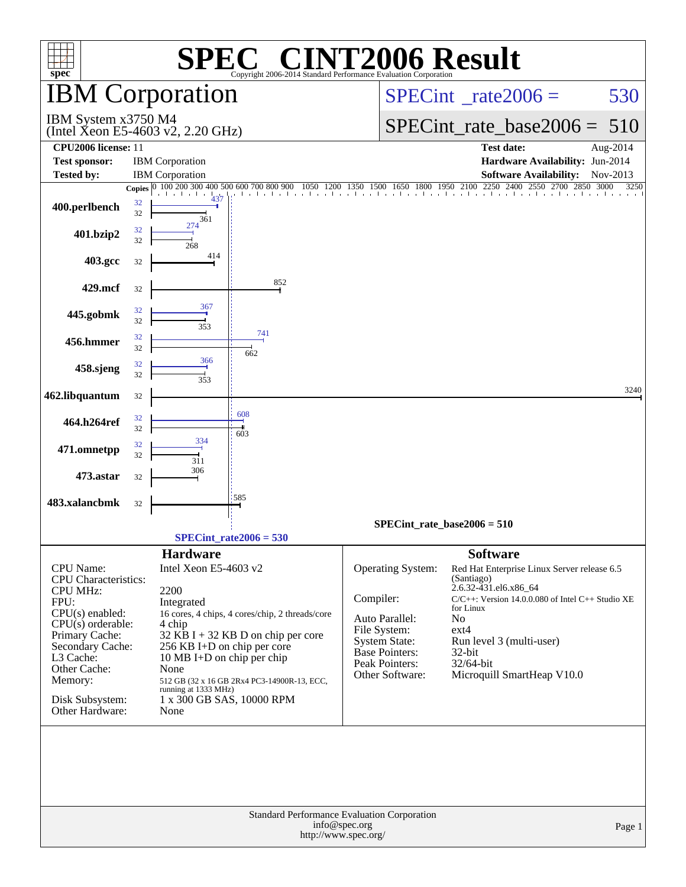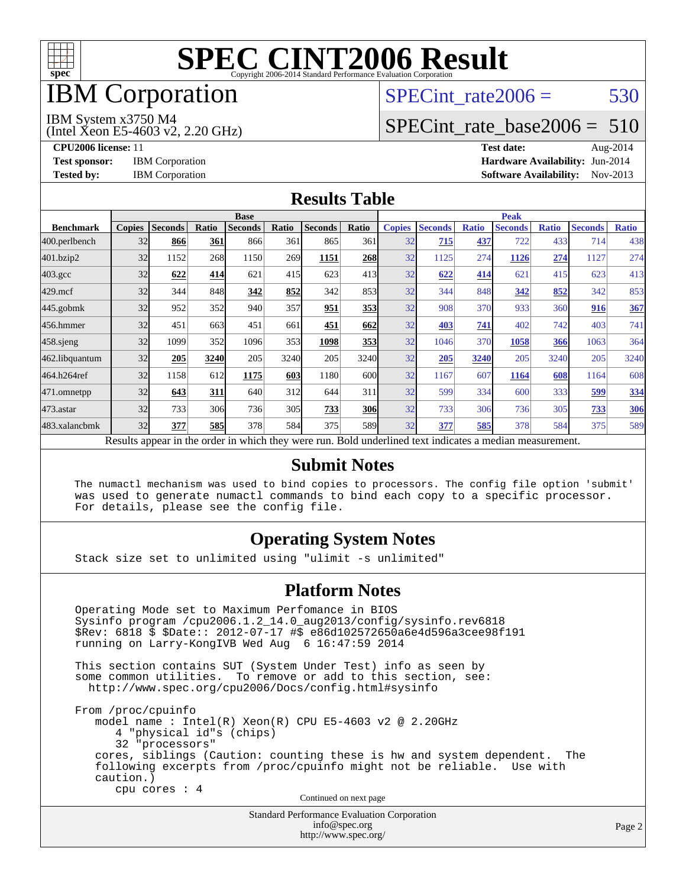

## IBM Corporation

## SPECint rate $2006 = 530$

#### IBM System x3750 M4

(Intel Xeon E5-4603 v2, 2.20 GHz)

[SPECint\\_rate\\_base2006 =](http://www.spec.org/auto/cpu2006/Docs/result-fields.html#SPECintratebase2006) 510

**[CPU2006 license:](http://www.spec.org/auto/cpu2006/Docs/result-fields.html#CPU2006license)** 11 **[Test date:](http://www.spec.org/auto/cpu2006/Docs/result-fields.html#Testdate)** Aug-2014 **[Test sponsor:](http://www.spec.org/auto/cpu2006/Docs/result-fields.html#Testsponsor)** IBM Corporation **[Hardware Availability:](http://www.spec.org/auto/cpu2006/Docs/result-fields.html#HardwareAvailability)** Jun-2014 [Tested by:](http://www.spec.org/auto/cpu2006/Docs/result-fields.html#Testedby) IBM Corporation **[Software Availability:](http://www.spec.org/auto/cpu2006/Docs/result-fields.html#SoftwareAvailability)** Nov-2013

#### **[Results Table](http://www.spec.org/auto/cpu2006/Docs/result-fields.html#ResultsTable)**

|                  | <b>Base</b>   |                |            |                |       |                                                                                                          |       | <b>Peak</b>   |                |              |                |              |                |              |
|------------------|---------------|----------------|------------|----------------|-------|----------------------------------------------------------------------------------------------------------|-------|---------------|----------------|--------------|----------------|--------------|----------------|--------------|
| <b>Benchmark</b> | <b>Copies</b> | <b>Seconds</b> | Ratio      | <b>Seconds</b> | Ratio | <b>Seconds</b>                                                                                           | Ratio | <b>Copies</b> | <b>Seconds</b> | <b>Ratio</b> | <b>Seconds</b> | <b>Ratio</b> | <b>Seconds</b> | <b>Ratio</b> |
| 400.perlbench    | 32            | 866            | 361        | 866            | 361   | 865                                                                                                      | 361   | 32            | 715            | 437          | 722            | 433          | 714            | 438          |
| 401.bzip2        | 32            | 1152           | 268        | 1150           | 269   | 1151                                                                                                     | 268   | 32            | 1125           | 274          | 1126           | 274          | 1127           | 274          |
| $403.\text{gcc}$ | 32            | 622            | 414        | 621            | 415   | 623                                                                                                      | 413   | 32            | 622            | 414          | 621            | 415          | 623            | 413          |
| $429$ .mcf       | 32            | 344            | 848        | 342            | 852   | 342                                                                                                      | 853   | 32            | 344            | 848          | 342            | 852          | 342            | 853          |
| $445$ .gobmk     | 32            | 952            | 352        | 940            | 357   | 951                                                                                                      | 353   | 32            | 908            | 370          | 933            | 360          | 916            | 367          |
| 456.hmmer        | 32            | 451            | 663        | 451            | 661   | 451                                                                                                      | 662   | 32            | 403            | 741          | 402            | 742          | 403            | 741          |
| $458$ .sjeng     | 32            | 1099           | 352        | 1096           | 353   | 1098                                                                                                     | 353   | 32            | 1046           | 370          | 1058           | 366          | 1063           | 364          |
| 462.libquantum   | 32            | 205            | 3240       | 205            | 3240  | 205                                                                                                      | 3240  | 32            | 205            | 3240         | 205            | 3240         | 205            | 3240         |
| 464.h264ref      | 32            | 1158           | 612        | 1175           | 603   | 1180                                                                                                     | 600l  | 32            | 1167           | 607          | 1164           | 608          | 1164           | 608          |
| 471.omnetpp      | 32            | 643            | 311        | 640            | 312   | 644                                                                                                      | 311   | 32            | 599            | 334          | 600            | 333          | 599            | 334          |
| 473.astar        | 32            | 733            | 306        | 736            | 305   | 733                                                                                                      | 306   | 32            | 733            | 306          | 736            | 305          | 733            | <b>306</b>   |
| 483.xalancbmk    | 32            | 377            | <b>585</b> | 378            | 584   | 375                                                                                                      | 589   | 32            | 377            | 585          | 378            | 584          | 375            | 589          |
|                  |               |                |            |                |       | Results appear in the order in which they were run. Bold underlined text indicates a median measurement. |       |               |                |              |                |              |                |              |

#### **[Submit Notes](http://www.spec.org/auto/cpu2006/Docs/result-fields.html#SubmitNotes)**

 The numactl mechanism was used to bind copies to processors. The config file option 'submit' was used to generate numactl commands to bind each copy to a specific processor. For details, please see the config file.

### **[Operating System Notes](http://www.spec.org/auto/cpu2006/Docs/result-fields.html#OperatingSystemNotes)**

Stack size set to unlimited using "ulimit -s unlimited"

#### **[Platform Notes](http://www.spec.org/auto/cpu2006/Docs/result-fields.html#PlatformNotes)**

 Operating Mode set to Maximum Perfomance in BIOS Sysinfo program /cpu2006.1.2\_14.0\_aug2013/config/sysinfo.rev6818 \$Rev: 6818 \$ \$Date:: 2012-07-17 #\$ e86d102572650a6e4d596a3cee98f191 running on Larry-KongIVB Wed Aug 6 16:47:59 2014 This section contains SUT (System Under Test) info as seen by some common utilities. To remove or add to this section, see:

<http://www.spec.org/cpu2006/Docs/config.html#sysinfo>

 From /proc/cpuinfo model name : Intel(R) Xeon(R) CPU E5-4603 v2 @ 2.20GHz 4 "physical id"s (chips) 32 "processors" cores, siblings (Caution: counting these is hw and system dependent. The following excerpts from /proc/cpuinfo might not be reliable. Use with caution.) cpu cores : 4 Continued on next page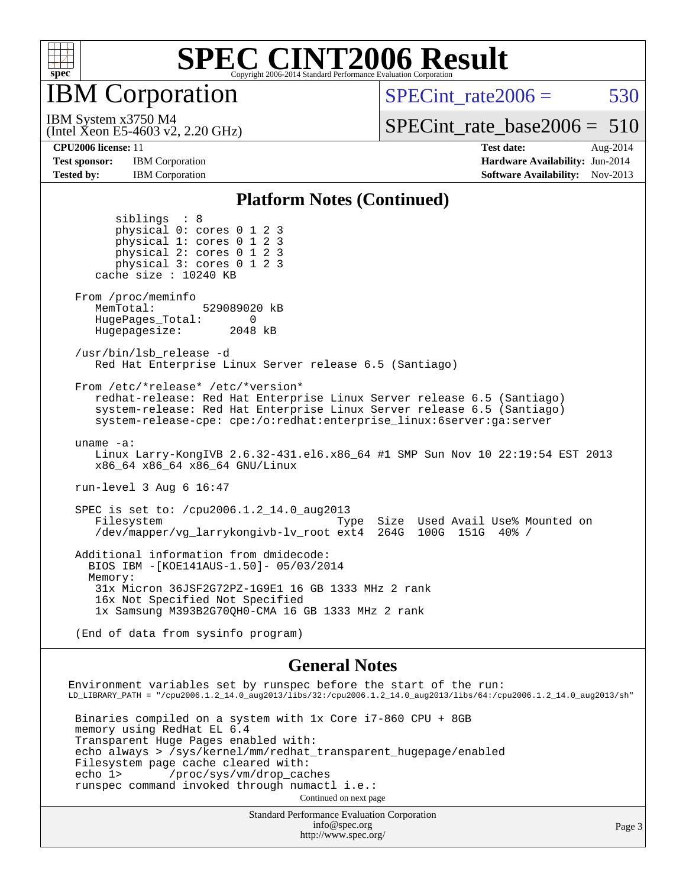

IBM Corporation

SPECint rate $2006 = 530$ 

(Intel Xeon E5-4603 v2, 2.20 GHz) IBM System x3750 M4

[SPECint\\_rate\\_base2006 =](http://www.spec.org/auto/cpu2006/Docs/result-fields.html#SPECintratebase2006) 510

**[Tested by:](http://www.spec.org/auto/cpu2006/Docs/result-fields.html#Testedby)** IBM Corporation **[Software Availability:](http://www.spec.org/auto/cpu2006/Docs/result-fields.html#SoftwareAvailability)** Nov-2013

**[CPU2006 license:](http://www.spec.org/auto/cpu2006/Docs/result-fields.html#CPU2006license)** 11 **[Test date:](http://www.spec.org/auto/cpu2006/Docs/result-fields.html#Testdate)** Aug-2014 **[Test sponsor:](http://www.spec.org/auto/cpu2006/Docs/result-fields.html#Testsponsor)** IBM Corporation **[Hardware Availability:](http://www.spec.org/auto/cpu2006/Docs/result-fields.html#HardwareAvailability)** Jun-2014

#### **[Platform Notes \(Continued\)](http://www.spec.org/auto/cpu2006/Docs/result-fields.html#PlatformNotes)**

 siblings : 8 physical 0: cores 0 1 2 3 physical 1: cores 0 1 2 3 physical 2: cores 0 1 2 3 physical 3: cores 0 1 2 3 cache size : 10240 KB From /proc/meminfo MemTotal: 529089020 kB HugePages\_Total: 0<br>Hugepagesize: 2048 kB Hugepagesize: /usr/bin/lsb\_release -d Red Hat Enterprise Linux Server release 6.5 (Santiago) From /etc/\*release\* /etc/\*version\* redhat-release: Red Hat Enterprise Linux Server release 6.5 (Santiago) system-release: Red Hat Enterprise Linux Server release 6.5 (Santiago) system-release-cpe: cpe:/o:redhat:enterprise\_linux:6server:ga:server uname -a: Linux Larry-KongIVB 2.6.32-431.el6.x86\_64 #1 SMP Sun Nov 10 22:19:54 EST 2013 x86\_64 x86\_64 x86\_64 GNU/Linux run-level 3 Aug 6 16:47 SPEC is set to: /cpu2006.1.2\_14.0\_aug2013 Filesystem Type Size Used Avail Use% Mounted on /dev/mapper/vg\_larrykongivb-lv\_root ext4 264G 100G 151G 40% / Additional information from dmidecode: BIOS IBM -[KOE141AUS-1.50]- 05/03/2014 Memory: 31x Micron 36JSF2G72PZ-1G9E1 16 GB 1333 MHz 2 rank 16x Not Specified Not Specified 1x Samsung M393B2G70QH0-CMA 16 GB 1333 MHz 2 rank (End of data from sysinfo program)

#### **[General Notes](http://www.spec.org/auto/cpu2006/Docs/result-fields.html#GeneralNotes)**

Environment variables set by runspec before the start of the run: LD\_LIBRARY\_PATH = "/cpu2006.1.2\_14.0\_aug2013/libs/32:/cpu2006.1.2\_14.0\_aug2013/libs/64:/cpu2006.1.2\_14.0\_aug2013/sh" Binaries compiled on a system with 1x Core i7-860 CPU + 8GB memory using RedHat EL 6.4

 Transparent Huge Pages enabled with: echo always > /sys/kernel/mm/redhat\_transparent\_hugepage/enabled Filesystem page cache cleared with:<br>echo 1> /proc/sys/vm/drop cac /proc/sys/vm/drop\_caches runspec command invoked through numactl i.e.: Continued on next page

> Standard Performance Evaluation Corporation [info@spec.org](mailto:info@spec.org) <http://www.spec.org/>

Page 3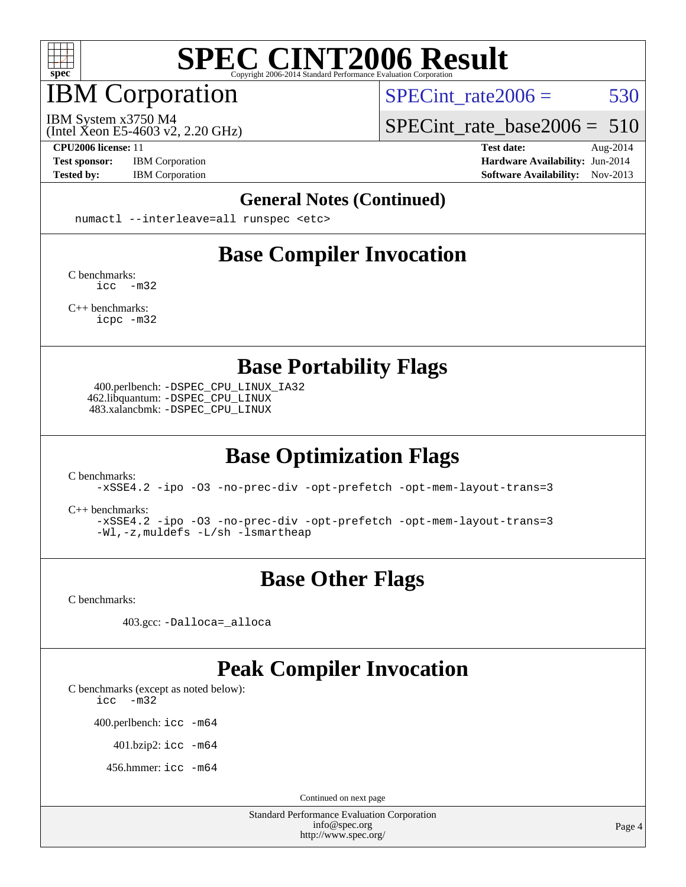

## IBM Corporation

SPECint rate $2006 = 530$ 

(Intel Xeon E5-4603 v2, 2.20 GHz) IBM System x3750 M4

[SPECint\\_rate\\_base2006 =](http://www.spec.org/auto/cpu2006/Docs/result-fields.html#SPECintratebase2006) 510

**[Test sponsor:](http://www.spec.org/auto/cpu2006/Docs/result-fields.html#Testsponsor)** IBM Corporation **[Hardware Availability:](http://www.spec.org/auto/cpu2006/Docs/result-fields.html#HardwareAvailability)** Jun-2014

**[CPU2006 license:](http://www.spec.org/auto/cpu2006/Docs/result-fields.html#CPU2006license)** 11 **[Test date:](http://www.spec.org/auto/cpu2006/Docs/result-fields.html#Testdate)** Aug-2014 [Tested by:](http://www.spec.org/auto/cpu2006/Docs/result-fields.html#Testedby) IBM Corporation **[Software Availability:](http://www.spec.org/auto/cpu2006/Docs/result-fields.html#SoftwareAvailability)** Nov-2013

#### **[General Notes \(Continued\)](http://www.spec.org/auto/cpu2006/Docs/result-fields.html#GeneralNotes)**

numactl --interleave=all runspec <etc>

## **[Base Compiler Invocation](http://www.spec.org/auto/cpu2006/Docs/result-fields.html#BaseCompilerInvocation)**

[C benchmarks](http://www.spec.org/auto/cpu2006/Docs/result-fields.html#Cbenchmarks): [icc -m32](http://www.spec.org/cpu2006/results/res2014q3/cpu2006-20140808-30838.flags.html#user_CCbase_intel_icc_5ff4a39e364c98233615fdd38438c6f2)

[C++ benchmarks:](http://www.spec.org/auto/cpu2006/Docs/result-fields.html#CXXbenchmarks) [icpc -m32](http://www.spec.org/cpu2006/results/res2014q3/cpu2006-20140808-30838.flags.html#user_CXXbase_intel_icpc_4e5a5ef1a53fd332b3c49e69c3330699)

**[Base Portability Flags](http://www.spec.org/auto/cpu2006/Docs/result-fields.html#BasePortabilityFlags)**

 400.perlbench: [-DSPEC\\_CPU\\_LINUX\\_IA32](http://www.spec.org/cpu2006/results/res2014q3/cpu2006-20140808-30838.flags.html#b400.perlbench_baseCPORTABILITY_DSPEC_CPU_LINUX_IA32) 462.libquantum: [-DSPEC\\_CPU\\_LINUX](http://www.spec.org/cpu2006/results/res2014q3/cpu2006-20140808-30838.flags.html#b462.libquantum_baseCPORTABILITY_DSPEC_CPU_LINUX) 483.xalancbmk: [-DSPEC\\_CPU\\_LINUX](http://www.spec.org/cpu2006/results/res2014q3/cpu2006-20140808-30838.flags.html#b483.xalancbmk_baseCXXPORTABILITY_DSPEC_CPU_LINUX)

## **[Base Optimization Flags](http://www.spec.org/auto/cpu2006/Docs/result-fields.html#BaseOptimizationFlags)**

[C benchmarks](http://www.spec.org/auto/cpu2006/Docs/result-fields.html#Cbenchmarks):

[-xSSE4.2](http://www.spec.org/cpu2006/results/res2014q3/cpu2006-20140808-30838.flags.html#user_CCbase_f-xSSE42_f91528193cf0b216347adb8b939d4107) [-ipo](http://www.spec.org/cpu2006/results/res2014q3/cpu2006-20140808-30838.flags.html#user_CCbase_f-ipo) [-O3](http://www.spec.org/cpu2006/results/res2014q3/cpu2006-20140808-30838.flags.html#user_CCbase_f-O3) [-no-prec-div](http://www.spec.org/cpu2006/results/res2014q3/cpu2006-20140808-30838.flags.html#user_CCbase_f-no-prec-div) [-opt-prefetch](http://www.spec.org/cpu2006/results/res2014q3/cpu2006-20140808-30838.flags.html#user_CCbase_f-opt-prefetch) [-opt-mem-layout-trans=3](http://www.spec.org/cpu2006/results/res2014q3/cpu2006-20140808-30838.flags.html#user_CCbase_f-opt-mem-layout-trans_a7b82ad4bd7abf52556d4961a2ae94d5)

[C++ benchmarks:](http://www.spec.org/auto/cpu2006/Docs/result-fields.html#CXXbenchmarks)

[-xSSE4.2](http://www.spec.org/cpu2006/results/res2014q3/cpu2006-20140808-30838.flags.html#user_CXXbase_f-xSSE42_f91528193cf0b216347adb8b939d4107) [-ipo](http://www.spec.org/cpu2006/results/res2014q3/cpu2006-20140808-30838.flags.html#user_CXXbase_f-ipo) [-O3](http://www.spec.org/cpu2006/results/res2014q3/cpu2006-20140808-30838.flags.html#user_CXXbase_f-O3) [-no-prec-div](http://www.spec.org/cpu2006/results/res2014q3/cpu2006-20140808-30838.flags.html#user_CXXbase_f-no-prec-div) [-opt-prefetch](http://www.spec.org/cpu2006/results/res2014q3/cpu2006-20140808-30838.flags.html#user_CXXbase_f-opt-prefetch) [-opt-mem-layout-trans=3](http://www.spec.org/cpu2006/results/res2014q3/cpu2006-20140808-30838.flags.html#user_CXXbase_f-opt-mem-layout-trans_a7b82ad4bd7abf52556d4961a2ae94d5) [-Wl,-z,muldefs](http://www.spec.org/cpu2006/results/res2014q3/cpu2006-20140808-30838.flags.html#user_CXXbase_link_force_multiple1_74079c344b956b9658436fd1b6dd3a8a) [-L/sh -lsmartheap](http://www.spec.org/cpu2006/results/res2014q3/cpu2006-20140808-30838.flags.html#user_CXXbase_SmartHeap_32f6c82aa1ed9c52345d30cf6e4a0499)

## **[Base Other Flags](http://www.spec.org/auto/cpu2006/Docs/result-fields.html#BaseOtherFlags)**

[C benchmarks](http://www.spec.org/auto/cpu2006/Docs/result-fields.html#Cbenchmarks):

403.gcc: [-Dalloca=\\_alloca](http://www.spec.org/cpu2006/results/res2014q3/cpu2006-20140808-30838.flags.html#b403.gcc_baseEXTRA_CFLAGS_Dalloca_be3056838c12de2578596ca5467af7f3)

### **[Peak Compiler Invocation](http://www.spec.org/auto/cpu2006/Docs/result-fields.html#PeakCompilerInvocation)**

[C benchmarks \(except as noted below\)](http://www.spec.org/auto/cpu2006/Docs/result-fields.html#Cbenchmarksexceptasnotedbelow):

[icc -m32](http://www.spec.org/cpu2006/results/res2014q3/cpu2006-20140808-30838.flags.html#user_CCpeak_intel_icc_5ff4a39e364c98233615fdd38438c6f2)

400.perlbench: [icc -m64](http://www.spec.org/cpu2006/results/res2014q3/cpu2006-20140808-30838.flags.html#user_peakCCLD400_perlbench_intel_icc_64bit_bda6cc9af1fdbb0edc3795bac97ada53)

401.bzip2: [icc -m64](http://www.spec.org/cpu2006/results/res2014q3/cpu2006-20140808-30838.flags.html#user_peakCCLD401_bzip2_intel_icc_64bit_bda6cc9af1fdbb0edc3795bac97ada53)

456.hmmer: [icc -m64](http://www.spec.org/cpu2006/results/res2014q3/cpu2006-20140808-30838.flags.html#user_peakCCLD456_hmmer_intel_icc_64bit_bda6cc9af1fdbb0edc3795bac97ada53)

Continued on next page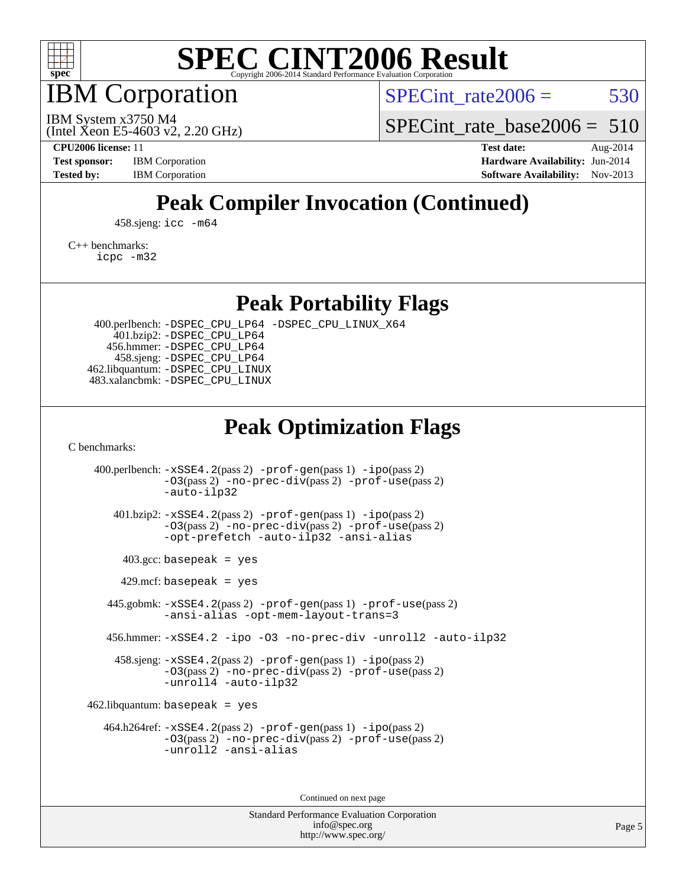

IBM Corporation

SPECint rate $2006 = 530$ 

(Intel Xeon E5-4603 v2, 2.20 GHz) IBM System x3750 M4

SPECint rate base2006 =  $510$ 

**[CPU2006 license:](http://www.spec.org/auto/cpu2006/Docs/result-fields.html#CPU2006license)** 11 **[Test date:](http://www.spec.org/auto/cpu2006/Docs/result-fields.html#Testdate)** Aug-2014 **[Test sponsor:](http://www.spec.org/auto/cpu2006/Docs/result-fields.html#Testsponsor)** IBM Corporation **[Hardware Availability:](http://www.spec.org/auto/cpu2006/Docs/result-fields.html#HardwareAvailability)** Jun-2014 **[Tested by:](http://www.spec.org/auto/cpu2006/Docs/result-fields.html#Testedby)** IBM Corporation **IBM** Corporation **[Software Availability:](http://www.spec.org/auto/cpu2006/Docs/result-fields.html#SoftwareAvailability)** Nov-2013

## **[Peak Compiler Invocation \(Continued\)](http://www.spec.org/auto/cpu2006/Docs/result-fields.html#PeakCompilerInvocation)**

458.sjeng: [icc -m64](http://www.spec.org/cpu2006/results/res2014q3/cpu2006-20140808-30838.flags.html#user_peakCCLD458_sjeng_intel_icc_64bit_bda6cc9af1fdbb0edc3795bac97ada53)

[C++ benchmarks:](http://www.spec.org/auto/cpu2006/Docs/result-fields.html#CXXbenchmarks) [icpc -m32](http://www.spec.org/cpu2006/results/res2014q3/cpu2006-20140808-30838.flags.html#user_CXXpeak_intel_icpc_4e5a5ef1a53fd332b3c49e69c3330699)

**[Peak Portability Flags](http://www.spec.org/auto/cpu2006/Docs/result-fields.html#PeakPortabilityFlags)**

 400.perlbench: [-DSPEC\\_CPU\\_LP64](http://www.spec.org/cpu2006/results/res2014q3/cpu2006-20140808-30838.flags.html#b400.perlbench_peakCPORTABILITY_DSPEC_CPU_LP64) [-DSPEC\\_CPU\\_LINUX\\_X64](http://www.spec.org/cpu2006/results/res2014q3/cpu2006-20140808-30838.flags.html#b400.perlbench_peakCPORTABILITY_DSPEC_CPU_LINUX_X64) 401.bzip2: [-DSPEC\\_CPU\\_LP64](http://www.spec.org/cpu2006/results/res2014q3/cpu2006-20140808-30838.flags.html#suite_peakCPORTABILITY401_bzip2_DSPEC_CPU_LP64) 456.hmmer: [-DSPEC\\_CPU\\_LP64](http://www.spec.org/cpu2006/results/res2014q3/cpu2006-20140808-30838.flags.html#suite_peakCPORTABILITY456_hmmer_DSPEC_CPU_LP64) 458.sjeng: [-DSPEC\\_CPU\\_LP64](http://www.spec.org/cpu2006/results/res2014q3/cpu2006-20140808-30838.flags.html#suite_peakCPORTABILITY458_sjeng_DSPEC_CPU_LP64) 462.libquantum: [-DSPEC\\_CPU\\_LINUX](http://www.spec.org/cpu2006/results/res2014q3/cpu2006-20140808-30838.flags.html#b462.libquantum_peakCPORTABILITY_DSPEC_CPU_LINUX) 483.xalancbmk: [-DSPEC\\_CPU\\_LINUX](http://www.spec.org/cpu2006/results/res2014q3/cpu2006-20140808-30838.flags.html#b483.xalancbmk_peakCXXPORTABILITY_DSPEC_CPU_LINUX)

### **[Peak Optimization Flags](http://www.spec.org/auto/cpu2006/Docs/result-fields.html#PeakOptimizationFlags)**

[C benchmarks](http://www.spec.org/auto/cpu2006/Docs/result-fields.html#Cbenchmarks):

 400.perlbench: [-xSSE4.2](http://www.spec.org/cpu2006/results/res2014q3/cpu2006-20140808-30838.flags.html#user_peakPASS2_CFLAGSPASS2_LDCFLAGS400_perlbench_f-xSSE42_f91528193cf0b216347adb8b939d4107)(pass 2) [-prof-gen](http://www.spec.org/cpu2006/results/res2014q3/cpu2006-20140808-30838.flags.html#user_peakPASS1_CFLAGSPASS1_LDCFLAGS400_perlbench_prof_gen_e43856698f6ca7b7e442dfd80e94a8fc)(pass 1) [-ipo](http://www.spec.org/cpu2006/results/res2014q3/cpu2006-20140808-30838.flags.html#user_peakPASS2_CFLAGSPASS2_LDCFLAGS400_perlbench_f-ipo)(pass 2) [-O3](http://www.spec.org/cpu2006/results/res2014q3/cpu2006-20140808-30838.flags.html#user_peakPASS2_CFLAGSPASS2_LDCFLAGS400_perlbench_f-O3)(pass 2) [-no-prec-div](http://www.spec.org/cpu2006/results/res2014q3/cpu2006-20140808-30838.flags.html#user_peakPASS2_CFLAGSPASS2_LDCFLAGS400_perlbench_f-no-prec-div)(pass 2) [-prof-use](http://www.spec.org/cpu2006/results/res2014q3/cpu2006-20140808-30838.flags.html#user_peakPASS2_CFLAGSPASS2_LDCFLAGS400_perlbench_prof_use_bccf7792157ff70d64e32fe3e1250b55)(pass 2) [-auto-ilp32](http://www.spec.org/cpu2006/results/res2014q3/cpu2006-20140808-30838.flags.html#user_peakCOPTIMIZE400_perlbench_f-auto-ilp32) 401.bzip2: [-xSSE4.2](http://www.spec.org/cpu2006/results/res2014q3/cpu2006-20140808-30838.flags.html#user_peakPASS2_CFLAGSPASS2_LDCFLAGS401_bzip2_f-xSSE42_f91528193cf0b216347adb8b939d4107)(pass 2) [-prof-gen](http://www.spec.org/cpu2006/results/res2014q3/cpu2006-20140808-30838.flags.html#user_peakPASS1_CFLAGSPASS1_LDCFLAGS401_bzip2_prof_gen_e43856698f6ca7b7e442dfd80e94a8fc)(pass 1) [-ipo](http://www.spec.org/cpu2006/results/res2014q3/cpu2006-20140808-30838.flags.html#user_peakPASS2_CFLAGSPASS2_LDCFLAGS401_bzip2_f-ipo)(pass 2) [-O3](http://www.spec.org/cpu2006/results/res2014q3/cpu2006-20140808-30838.flags.html#user_peakPASS2_CFLAGSPASS2_LDCFLAGS401_bzip2_f-O3)(pass 2) [-no-prec-div](http://www.spec.org/cpu2006/results/res2014q3/cpu2006-20140808-30838.flags.html#user_peakPASS2_CFLAGSPASS2_LDCFLAGS401_bzip2_f-no-prec-div)(pass 2) [-prof-use](http://www.spec.org/cpu2006/results/res2014q3/cpu2006-20140808-30838.flags.html#user_peakPASS2_CFLAGSPASS2_LDCFLAGS401_bzip2_prof_use_bccf7792157ff70d64e32fe3e1250b55)(pass 2) [-opt-prefetch](http://www.spec.org/cpu2006/results/res2014q3/cpu2006-20140808-30838.flags.html#user_peakCOPTIMIZE401_bzip2_f-opt-prefetch) [-auto-ilp32](http://www.spec.org/cpu2006/results/res2014q3/cpu2006-20140808-30838.flags.html#user_peakCOPTIMIZE401_bzip2_f-auto-ilp32) [-ansi-alias](http://www.spec.org/cpu2006/results/res2014q3/cpu2006-20140808-30838.flags.html#user_peakCOPTIMIZE401_bzip2_f-ansi-alias)  $403.\text{gcc: basepeak}$  = yes  $429$ .mcf: basepeak = yes 445.gobmk: [-xSSE4.2](http://www.spec.org/cpu2006/results/res2014q3/cpu2006-20140808-30838.flags.html#user_peakPASS2_CFLAGSPASS2_LDCFLAGS445_gobmk_f-xSSE42_f91528193cf0b216347adb8b939d4107)(pass 2) [-prof-gen](http://www.spec.org/cpu2006/results/res2014q3/cpu2006-20140808-30838.flags.html#user_peakPASS1_CFLAGSPASS1_LDCFLAGS445_gobmk_prof_gen_e43856698f6ca7b7e442dfd80e94a8fc)(pass 1) [-prof-use](http://www.spec.org/cpu2006/results/res2014q3/cpu2006-20140808-30838.flags.html#user_peakPASS2_CFLAGSPASS2_LDCFLAGS445_gobmk_prof_use_bccf7792157ff70d64e32fe3e1250b55)(pass 2) [-ansi-alias](http://www.spec.org/cpu2006/results/res2014q3/cpu2006-20140808-30838.flags.html#user_peakCOPTIMIZE445_gobmk_f-ansi-alias) [-opt-mem-layout-trans=3](http://www.spec.org/cpu2006/results/res2014q3/cpu2006-20140808-30838.flags.html#user_peakCOPTIMIZE445_gobmk_f-opt-mem-layout-trans_a7b82ad4bd7abf52556d4961a2ae94d5) 456.hmmer: [-xSSE4.2](http://www.spec.org/cpu2006/results/res2014q3/cpu2006-20140808-30838.flags.html#user_peakCOPTIMIZE456_hmmer_f-xSSE42_f91528193cf0b216347adb8b939d4107) [-ipo](http://www.spec.org/cpu2006/results/res2014q3/cpu2006-20140808-30838.flags.html#user_peakCOPTIMIZE456_hmmer_f-ipo) [-O3](http://www.spec.org/cpu2006/results/res2014q3/cpu2006-20140808-30838.flags.html#user_peakCOPTIMIZE456_hmmer_f-O3) [-no-prec-div](http://www.spec.org/cpu2006/results/res2014q3/cpu2006-20140808-30838.flags.html#user_peakCOPTIMIZE456_hmmer_f-no-prec-div) [-unroll2](http://www.spec.org/cpu2006/results/res2014q3/cpu2006-20140808-30838.flags.html#user_peakCOPTIMIZE456_hmmer_f-unroll_784dae83bebfb236979b41d2422d7ec2) [-auto-ilp32](http://www.spec.org/cpu2006/results/res2014q3/cpu2006-20140808-30838.flags.html#user_peakCOPTIMIZE456_hmmer_f-auto-ilp32) 458.sjeng: [-xSSE4.2](http://www.spec.org/cpu2006/results/res2014q3/cpu2006-20140808-30838.flags.html#user_peakPASS2_CFLAGSPASS2_LDCFLAGS458_sjeng_f-xSSE42_f91528193cf0b216347adb8b939d4107)(pass 2) [-prof-gen](http://www.spec.org/cpu2006/results/res2014q3/cpu2006-20140808-30838.flags.html#user_peakPASS1_CFLAGSPASS1_LDCFLAGS458_sjeng_prof_gen_e43856698f6ca7b7e442dfd80e94a8fc)(pass 1) [-ipo](http://www.spec.org/cpu2006/results/res2014q3/cpu2006-20140808-30838.flags.html#user_peakPASS2_CFLAGSPASS2_LDCFLAGS458_sjeng_f-ipo)(pass 2) [-O3](http://www.spec.org/cpu2006/results/res2014q3/cpu2006-20140808-30838.flags.html#user_peakPASS2_CFLAGSPASS2_LDCFLAGS458_sjeng_f-O3)(pass 2) [-no-prec-div](http://www.spec.org/cpu2006/results/res2014q3/cpu2006-20140808-30838.flags.html#user_peakPASS2_CFLAGSPASS2_LDCFLAGS458_sjeng_f-no-prec-div)(pass 2) [-prof-use](http://www.spec.org/cpu2006/results/res2014q3/cpu2006-20140808-30838.flags.html#user_peakPASS2_CFLAGSPASS2_LDCFLAGS458_sjeng_prof_use_bccf7792157ff70d64e32fe3e1250b55)(pass 2) [-unroll4](http://www.spec.org/cpu2006/results/res2014q3/cpu2006-20140808-30838.flags.html#user_peakCOPTIMIZE458_sjeng_f-unroll_4e5e4ed65b7fd20bdcd365bec371b81f) [-auto-ilp32](http://www.spec.org/cpu2006/results/res2014q3/cpu2006-20140808-30838.flags.html#user_peakCOPTIMIZE458_sjeng_f-auto-ilp32)  $462$ .libquantum: basepeak = yes 464.h264ref: [-xSSE4.2](http://www.spec.org/cpu2006/results/res2014q3/cpu2006-20140808-30838.flags.html#user_peakPASS2_CFLAGSPASS2_LDCFLAGS464_h264ref_f-xSSE42_f91528193cf0b216347adb8b939d4107)(pass 2) [-prof-gen](http://www.spec.org/cpu2006/results/res2014q3/cpu2006-20140808-30838.flags.html#user_peakPASS1_CFLAGSPASS1_LDCFLAGS464_h264ref_prof_gen_e43856698f6ca7b7e442dfd80e94a8fc)(pass 1) [-ipo](http://www.spec.org/cpu2006/results/res2014q3/cpu2006-20140808-30838.flags.html#user_peakPASS2_CFLAGSPASS2_LDCFLAGS464_h264ref_f-ipo)(pass 2) [-O3](http://www.spec.org/cpu2006/results/res2014q3/cpu2006-20140808-30838.flags.html#user_peakPASS2_CFLAGSPASS2_LDCFLAGS464_h264ref_f-O3)(pass 2) [-no-prec-div](http://www.spec.org/cpu2006/results/res2014q3/cpu2006-20140808-30838.flags.html#user_peakPASS2_CFLAGSPASS2_LDCFLAGS464_h264ref_f-no-prec-div)(pass 2) [-prof-use](http://www.spec.org/cpu2006/results/res2014q3/cpu2006-20140808-30838.flags.html#user_peakPASS2_CFLAGSPASS2_LDCFLAGS464_h264ref_prof_use_bccf7792157ff70d64e32fe3e1250b55)(pass 2) [-unroll2](http://www.spec.org/cpu2006/results/res2014q3/cpu2006-20140808-30838.flags.html#user_peakCOPTIMIZE464_h264ref_f-unroll_784dae83bebfb236979b41d2422d7ec2) [-ansi-alias](http://www.spec.org/cpu2006/results/res2014q3/cpu2006-20140808-30838.flags.html#user_peakCOPTIMIZE464_h264ref_f-ansi-alias)

Continued on next page